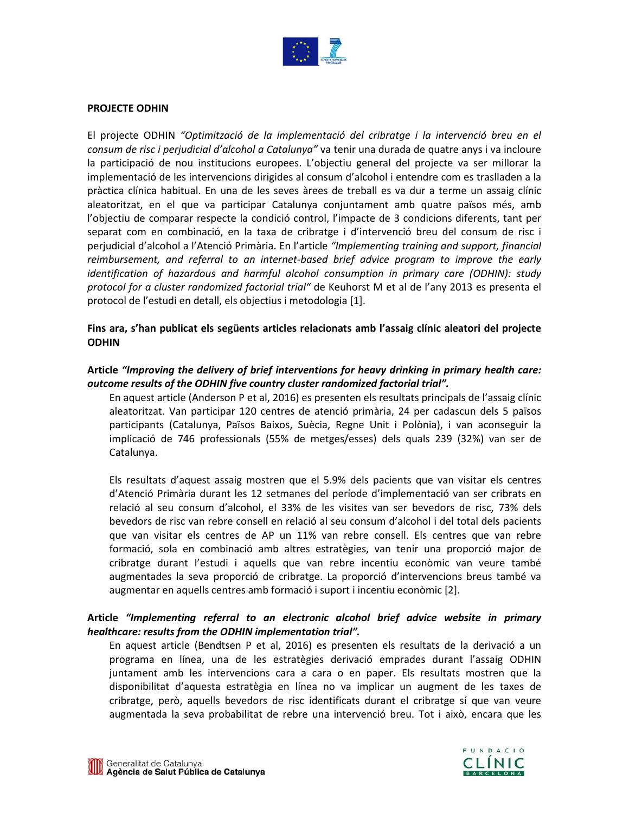

#### **PROJECTE ODHIN**

El projecte ODHIN *"Optimització de la implementació del cribratge i la intervenció breu en el consum de risc i perjudicial d'alcohol a Catalunya"* va tenir una durada de quatre anys i va incloure la participació de nou institucions europees. L'objectiu general del projecte va ser millorar la implementació de les intervencions dirigides al consum d'alcohol i entendre com es traslladen a la pràctica clínica habitual. En una de les seves àrees de treball es va dur a terme un assaig clínic aleatoritzat, en el que va participar Catalunya conjuntament amb quatre països més, amb l'objectiu de comparar respecte la condició control, l'impacte de 3 condicions diferents, tant per separat com en combinació, en la taxa de cribratge i d'intervenció breu del consum de risc i perjudicial d'alcohol a l'Atenció Primària. En l'article *"Implementing training and support, financial reimbursement, and referral to an internet-based brief advice program to improve the early identification of hazardous and harmful alcohol consumption in primary care (ODHIN): study protocol for a cluster randomized factorial trial"* de Keuhorst M et al de l'any 2013 es presenta el protocol de l'estudi en detall, els objectius i metodologia [1].

## **Fins ara, s'han publicat els següents articles relacionats amb l'assaig clínic aleatori del projecte ODHIN**

## **Article** *"Improving the delivery of brief interventions for heavy drinking in primary health care: outcome results of the ODHIN five country cluster randomized factorial trial".*

En aquest article (Anderson P et al, 2016) es presenten els resultats principals de l'assaig clínic aleatoritzat. Van participar 120 centres de atenció primària, 24 per cadascun dels 5 països participants (Catalunya, Països Baixos, Suècia, Regne Unit i Polònia), i van aconseguir la implicació de 746 professionals (55% de metges/esses) dels quals 239 (32%) van ser de Catalunya.

Els resultats d'aquest assaig mostren que el 5.9% dels pacients que van visitar els centres d'Atenció Primària durant les 12 setmanes del període d'implementació van ser cribrats en relació al seu consum d'alcohol, el 33% de les visites van ser bevedors de risc, 73% dels bevedors de risc van rebre consell en relació al seu consum d'alcohol i del total dels pacients que van visitar els centres de AP un 11% van rebre consell. Els centres que van rebre formació, sola en combinació amb altres estratègies, van tenir una proporció major de cribratge durant l'estudi i aquells que van rebre incentiu econòmic van veure també augmentades la seva proporció de cribratge. La proporció d'intervencions breus també va augmentar en aquells centres amb formació i suport i incentiu econòmic [2].

# **Article** *"Implementing referral to an electronic alcohol brief advice website in primary healthcare: results from the ODHIN implementation trial".*

En aquest article (Bendtsen P et al, 2016) es presenten els resultats de la derivació a un programa en línea, una de les estratègies derivació emprades durant l'assaig ODHIN juntament amb les intervencions cara a cara o en paper. Els resultats mostren que la disponibilitat d'aquesta estratègia en línea no va implicar un augment de les taxes de cribratge, però, aquells bevedors de risc identificats durant el cribratge sí que van veure augmentada la seva probabilitat de rebre una intervenció breu. Tot i això, encara que les

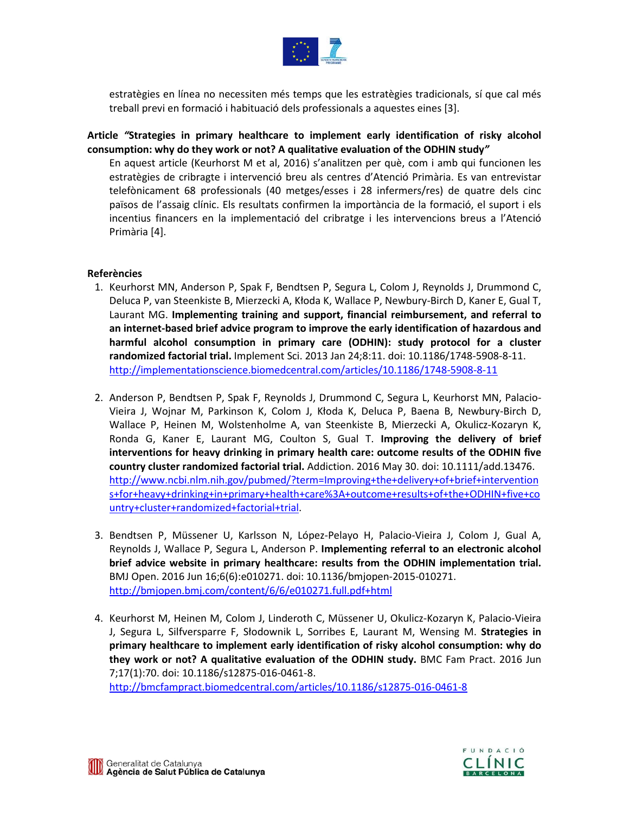

estratègies en línea no necessiten més temps que les estratègies tradicionals, sí que cal més treball previ en formació i habituació dels professionals a aquestes eines [3].

**Article** *"***Strategies in primary healthcare to implement early identification of risky alcohol consumption: why do they work or not? A qualitative evaluation of the ODHIN study***"*

En aquest article (Keurhorst M et al, 2016) s'analitzen per què, com i amb qui funcionen les estratègies de cribragte i intervenció breu als centres d'Atenció Primària. Es van entrevistar telefònicament 68 professionals (40 metges/esses i 28 infermers/res) de quatre dels cinc països de l'assaig clínic. Els resultats confirmen la importància de la formació, el suport i els incentius financers en la implementació del cribratge i les intervencions breus a l'Atenció Primària [4].

### **Referències**

- 1. Keurhorst MN, Anderson P, Spak F, Bendtsen P, Segura L, Colom J, Reynolds J, Drummond C, Deluca P, van Steenkiste B, Mierzecki A, Kłoda K, Wallace P, Newbury-Birch D, Kaner E, Gual T, Laurant MG. **Implementing training and support, financial reimbursement, and referral to an internet-based brief advice program to improve the early identification of hazardous and harmful alcohol consumption in primary care (ODHIN): study protocol for a cluster randomized factorial trial.** Implement Sci. 2013 Jan 24;8:11. doi: 10.1186/1748-5908-8-11. <http://implementationscience.biomedcentral.com/articles/10.1186/1748-5908-8-11>
- 2. Anderson P, Bendtsen P, Spak F, Reynolds J, Drummond C, Segura L, Keurhorst MN, Palacio-Vieira J, Wojnar M, Parkinson K, Colom J, Kłoda K, Deluca P, Baena B, Newbury-Birch D, Wallace P, Heinen M, Wolstenholme A, van Steenkiste B, Mierzecki A, Okulicz-Kozaryn K, Ronda G, Kaner E, Laurant MG, Coulton S, Gual T. **Improving the delivery of brief interventions for heavy drinking in primary health care: outcome results of the ODHIN five country cluster randomized factorial trial.** Addiction. 2016 May 30. doi: 10.1111/add.13476. http://www.ncbi.nlm.nih.gov/pubmed/?ter[m=Improving+the+delivery+of+brief+intervention](http://www.ncbi.nlm.nih.gov/pubmed/?term=Improving+the+delivery+of+brief+interventions+for+heavy+drinking+in+primary+health+care%3A+outcome+results+of+the+ODHIN+five+country+cluster+randomized+factorial+trial) [s+for+heavy+drinking+in+primary+health+care%3A+outcome+results+of+the+ODHIN+five+co](http://www.ncbi.nlm.nih.gov/pubmed/?term=Improving+the+delivery+of+brief+interventions+for+heavy+drinking+in+primary+health+care%3A+outcome+results+of+the+ODHIN+five+country+cluster+randomized+factorial+trial) [untry+cluster+randomized+factorial+trial.](http://www.ncbi.nlm.nih.gov/pubmed/?term=Improving+the+delivery+of+brief+interventions+for+heavy+drinking+in+primary+health+care%3A+outcome+results+of+the+ODHIN+five+country+cluster+randomized+factorial+trial)
- 3. Bendtsen P, Müssener U, Karlsson N, López-Pelayo H, Palacio-Vieira J, Colom J, Gual A, Reynolds J, Wallace P, Segura L, Anderson P. **Implementing referral to an electronic alcohol brief advice website in primary healthcare: results from the ODHIN implementation trial.** BMJ Open. 2016 Jun 16;6(6):e010271. doi: 10.1136/bmjopen-2015-010271. <http://bmjopen.bmj.com/content/6/6/e010271.full.pdf+html>
- 4. Keurhorst M, Heinen M, Colom J, Linderoth C, Müssener U, Okulicz-Kozaryn K, Palacio-Vieira J, Segura L, Silfversparre F, Słodownik L, Sorribes E, Laurant M, Wensing M. **Strategies in primary healthcare to implement early identification of risky alcohol consumption: why do they work or not? A qualitative evaluation of the ODHIN study.** BMC Fam Pract. 2016 Jun 7;17(1):70. doi: 10.1186/s12875-016-0461-8.

<http://bmcfampract.biomedcentral.com/articles/10.1186/s12875-016-0461-8>

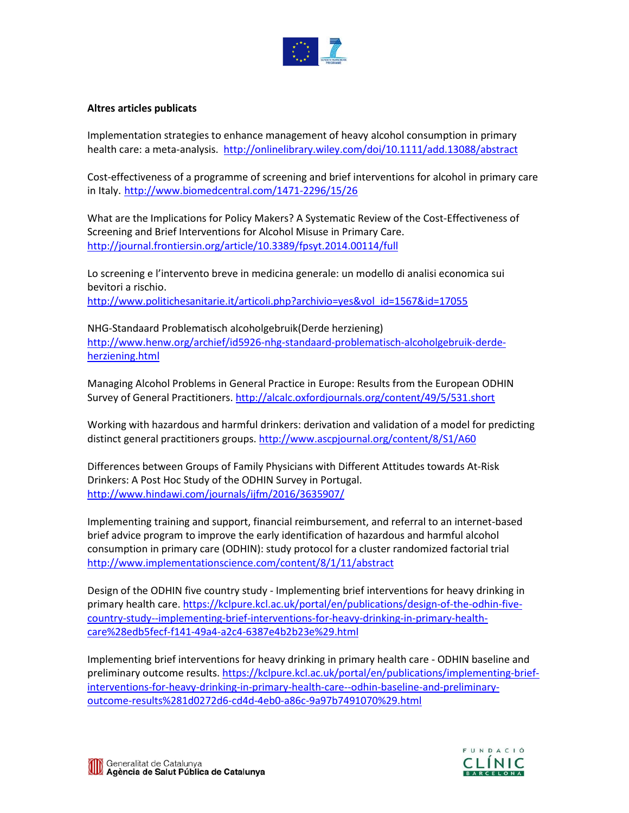

### **Altres articles publicats**

Implementation strategies to enhance management of heavy alcohol consumption in primary health care: a meta-analysis. [http://onlinelibrary.wiley.com/doi/10.1111/add.13088/abstra](http://onlinelibrary.wiley.com/doi/10.1111/add.13088/abstract)ct

Cost-effectiveness of a programme of screening and brief interventions for alcohol in primary care in Italy. [http://www.biomedcentral.com/1471](http://www.biomedcentral.com/1471-2296/15/26)-2296/15/26

What are the Implications for Policy Makers? A Systematic Review of the Cost-Effectiveness of Screening and Brief Interventions for Alcohol Misuse in Primary Care. <http://journal.frontiersin.org/article/10.3389/fpsyt.2014.00114/full>

Lo screening e l'intervento breve in medicina generale: un modello di analisi economica sui bevitori a rischio. ht[tp://www.politichesanitarie.it/articoli.php?archivio=yes&vol\\_id=1567&id=17055](http://www.politichesanitarie.it/articoli.php?archivio=yes&vol_id=1567&id=17055)

NHG-Standaard Problematisch alcoholgebruik(Derde herziening) http://www.henw.org/archief/id5926[-nhg-standaard-problematisch-alcoholgebruik-derde](http://www.henw.org/archief/id5926-nhg-standaard-problematisch-alcoholgebruik-derde-herziening.html)[herziening.html](http://www.henw.org/archief/id5926-nhg-standaard-problematisch-alcoholgebruik-derde-herziening.html)

Managing Alcohol Problems in General Practice in Europe: Results from the European ODHIN Survey of General Practitioners.<http://alcalc.oxfordjournals.org/content/49/5/531.short>

Working with hazardous and harmful drinkers: derivation and validation of a model for predicting distinct general practitioners groups. <http://www.ascpjournal.org/content/8/S1/A60>

Differences between Groups of Family Physicians with Different Attitudes towards At-Risk Drinkers: A Post Hoc Study of the ODHIN Survey in Portugal. <http://www.hindawi.com/journals/ijfm/2016/3635907/>

Implementing training and support, financial reimbursement, and referral to an internet-based brief advice program to improve the early identification of hazardous and harmful alcohol consumption in primary care (ODHIN): study protocol for a cluster randomized factorial trial http://www.implementati[onscience.com/content/8/1/11/abstract](http://www.implementationscience.com/content/8/1/11/abstract)

Design of the ODHIN five country study - Implementing brief interventions for heavy drinking in primary health care. [https://kclpure.kcl.ac.uk/portal/en/publications/design-of-the-odhin-five](https://kclpure.kcl.ac.uk/portal/en/publications/design-of-the-odhin-five-country-study--implementing-brief-interventions-for-heavy-drinking-in-primary-health-care%28edb5fecf-f141-49a4-a2c4-6387e4b2b23e%29.html)[country-study--implementing-brief-interventions-for-heavy-drinking-in-primary-health](https://kclpure.kcl.ac.uk/portal/en/publications/design-of-the-odhin-five-country-study--implementing-brief-interventions-for-heavy-drinking-in-primary-health-care%28edb5fecf-f141-49a4-a2c4-6387e4b2b23e%29.html)[care%28edb5fecf-f141-49a4-a2c4-6387e4b2b23e%29.html](https://kclpure.kcl.ac.uk/portal/en/publications/design-of-the-odhin-five-country-study--implementing-brief-interventions-for-heavy-drinking-in-primary-health-care%28edb5fecf-f141-49a4-a2c4-6387e4b2b23e%29.html)

Implementing brief interventions for heavy drinking in primary health care - ODHIN baseline and preliminary outcome results. [https://kclpure.kcl.ac.uk/portal/en/publications/implementing-brief](https://kclpure.kcl.ac.uk/portal/en/publications/implementing-brief-interventions-for-heavy-drinking-in-primary-health-care--odhin-baseline-and-preliminary-outcome-results%281d0272d6-cd4d-4eb0-a86c-9a97b7491070%29.html)[interventions-for-heavy-drinking-in-primary-health-care--odhin-baseline-and-preliminary](https://kclpure.kcl.ac.uk/portal/en/publications/implementing-brief-interventions-for-heavy-drinking-in-primary-health-care--odhin-baseline-and-preliminary-outcome-results%281d0272d6-cd4d-4eb0-a86c-9a97b7491070%29.html)[outcome-results%281d0272d6-cd4d-4eb0-a86c-9a97b7491070%29.html](https://kclpure.kcl.ac.uk/portal/en/publications/implementing-brief-interventions-for-heavy-drinking-in-primary-health-care--odhin-baseline-and-preliminary-outcome-results%281d0272d6-cd4d-4eb0-a86c-9a97b7491070%29.html)



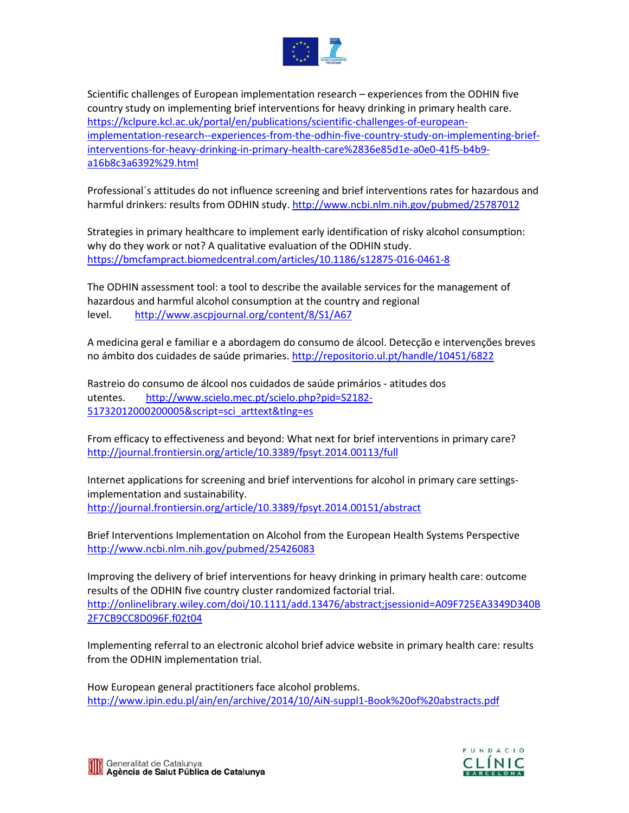

Scientific challenges of European implementation research – experiences from the ODHIN five country study on implementing brief interventions for heavy drinking in primary health care. [https://kclpure.kcl.ac.uk/portal/en/publications/scientific-challenges-of-european](https://kclpure.kcl.ac.uk/portal/en/publications/scientific-challenges-of-european-implementation-research--experiences-from-the-odhin-five-country-study-on-implementing-brief-interventions-for-heavy-drinking-in-primary-health-care%2836e85d1e-a0e0-41f5-b4b9-a16b8c3a6392%29.html)[implementation-research--experiences-from-the-odhin-five-country-study-on-implementing-brief](https://kclpure.kcl.ac.uk/portal/en/publications/scientific-challenges-of-european-implementation-research--experiences-from-the-odhin-five-country-study-on-implementing-brief-interventions-for-heavy-drinking-in-primary-health-care%2836e85d1e-a0e0-41f5-b4b9-a16b8c3a6392%29.html)[interventions-for-heavy-drinking-in-primary-health-care%2836e85d1e-a0e0-41f5-b4b9](https://kclpure.kcl.ac.uk/portal/en/publications/scientific-challenges-of-european-implementation-research--experiences-from-the-odhin-five-country-study-on-implementing-brief-interventions-for-heavy-drinking-in-primary-health-care%2836e85d1e-a0e0-41f5-b4b9-a16b8c3a6392%29.html) [a16b8c3a6392%29.html](https://kclpure.kcl.ac.uk/portal/en/publications/scientific-challenges-of-european-implementation-research--experiences-from-the-odhin-five-country-study-on-implementing-brief-interventions-for-heavy-drinking-in-primary-health-care%2836e85d1e-a0e0-41f5-b4b9-a16b8c3a6392%29.html)

Professional´s attitudes do not influence screening and brief interventions rates for hazardous and harmful drinkers: results from ODHIN study. <http://www.ncbi.nlm.nih.gov/pubmed/25787012>

Strategies in primary healthcare to implement early identification of risky alcohol consumption: why do they work or not? A qualitative evaluation of the ODHIN study. <https://bmcfampract.biomedcentral.com/articles/10.1186/s12875-016-0461-8>

The ODHIN assessment tool: a tool to describe the available services for the management of hazardous and harmful alcohol consumption at the country and regional level. <http://www.ascpjournal.org/content/8/S1/A67>

A medicina geral e familiar e a abordagem do consumo de álcool. Detecção e intervenções breves no ámbito dos cuidades de saúde primaries.<http://repositorio.ul.pt/handle/10451/6822>

Rastreio do consumo de álcool nos cuidados de saúde primários - atitudes dos utentes. [http://www.scielo.mec.pt/scielo.php?pid=S2182](http://www.scielo.mec.pt/scielo.php?pid=S2182-51732012000200005&script=sci_arttext&tlng=es)- [51732012000200005&script=sci\\_arttext&tlng=es](http://www.scielo.mec.pt/scielo.php?pid=S2182-51732012000200005&script=sci_arttext&tlng=es)

From efficacy to effectiveness and beyond: What next for brief interventions in primary care? <http://journal.frontiersin.org/article/10.3389/fpsyt.2014.00113/full>

Internet applications for screening and brief interventions for alcohol in primary care settingsimplementation and sustainability. <http://journal.frontiersin.org/article/10.3389/fpsyt.2014.00151/abstract>

Brief Interventions Implementation on Alcohol from the European Health Systems Perspective [http://www.ncbi.nlm.nih.gov/pubmed/2542608](http://www.ncbi.nlm.nih.gov/pubmed/25426083)3

Improving the delivery of brief interventions for heavy drinking in primary health care: outcome results of the ODHIN five country cluster randomized factorial trial. [http://onlinelibrary.wiley.com/doi/10.1111/add.13476/abstract;jsessionid=A09F725EA3349D340B](http://onlinelibrary.wiley.com/doi/10.1111/add.13476/abstract;jsessionid=A09F725EA3349D340B2F7CB9CC8D096F.f02t04) [2F7CB9CC8D096F.f02t04](http://onlinelibrary.wiley.com/doi/10.1111/add.13476/abstract;jsessionid=A09F725EA3349D340B2F7CB9CC8D096F.f02t04)

Implementing referral to an electronic alcohol brief advice website in primary health care: results from the ODHIN implementation trial.

How European general practitioners face alcohol problems. [http://www.ipin.edu.pl/ain/en/archive/2014/](http://www.ipin.edu.pl/ain/en/archive/2014/10/AiN-suppl1-Book%20of%20abstracts.pdf)10/AiN-suppl1-Book%20of%20abstracts.pdf